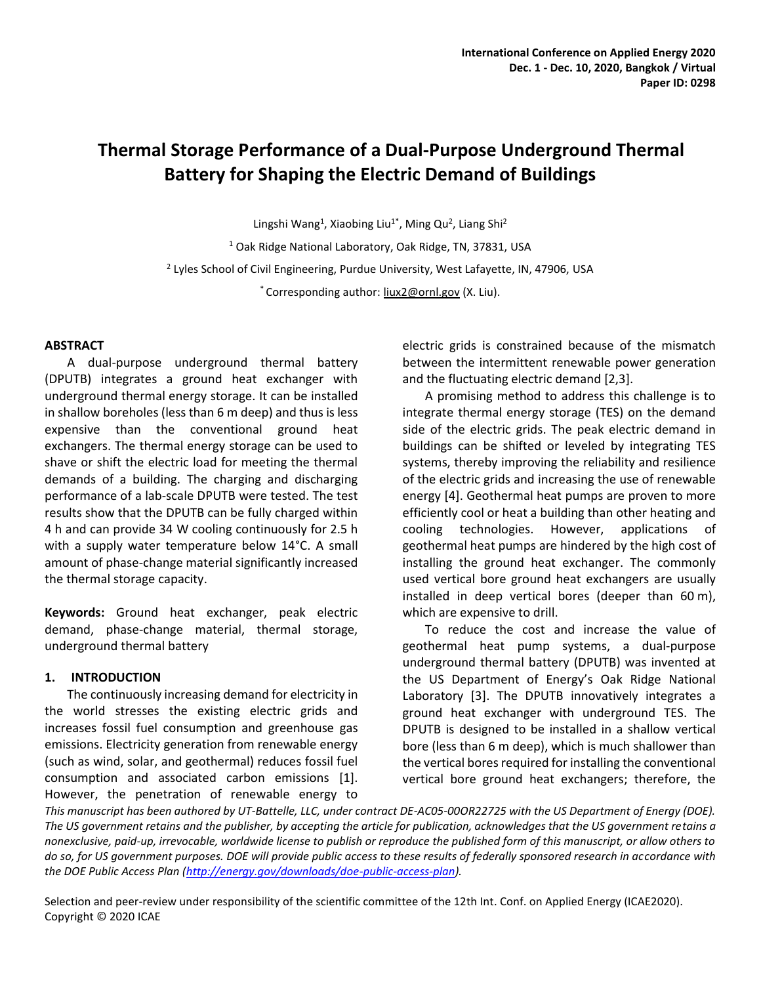# **Thermal Storage Performance of a Dual-Purpose Underground Thermal Battery for Shaping the Electric Demand of Buildings**

Lingshi Wang<sup>1</sup>, Xiaobing Liu<sup>1\*</sup>, Ming Qu<sup>2</sup>, Liang Shi<sup>2</sup> <sup>1</sup> Oak Ridge National Laboratory, Oak Ridge, TN, 37831, USA <sup>2</sup> Lyles School of Civil Engineering, Purdue University, West Lafayette, IN, 47906, USA \* Corresponding author: **liux2@ornl.gov** (X. Liu).

## **ABSTRACT**

A dual-purpose underground thermal battery (DPUTB) integrates a ground heat exchanger with underground thermal energy storage. It can be installed in shallow boreholes (less than 6 m deep) and thus is less expensive than the conventional ground heat exchangers. The thermal energy storage can be used to shave or shift the electric load for meeting the thermal demands of a building. The charging and discharging performance of a lab-scale DPUTB were tested. The test results show that the DPUTB can be fully charged within 4 h and can provide 34 W cooling continuously for 2.5 h with a supply water temperature below 14°C. A small amount of phase-change material significantly increased the thermal storage capacity.

**Keywords:** Ground heat exchanger, peak electric demand, phase-change material, thermal storage, underground thermal battery

## **1. INTRODUCTION**

The continuously increasing demand for electricity in the world stresses the existing electric grids and increases fossil fuel consumption and greenhouse gas emissions. Electricity generation from renewable energy (such as wind, solar, and geothermal) reduces fossil fuel consumption and associated carbon emissions [1]. However, the penetration of renewable energy to

electric grids is constrained because of the mismatch between the intermittent renewable power generation and the fluctuating electric demand [2,3].

A promising method to address this challenge is to integrate thermal energy storage (TES) on the demand side of the electric grids. The peak electric demand in buildings can be shifted or leveled by integrating TES systems, thereby improving the reliability and resilience of the electric grids and increasing the use of renewable energy [4]. Geothermal heat pumps are proven to more efficiently cool or heat a building than other heating and cooling technologies. However, applications of geothermal heat pumps are hindered by the high cost of installing the ground heat exchanger. The commonly used vertical bore ground heat exchangers are usually installed in deep vertical bores (deeper than 60 m), which are expensive to drill.

To reduce the cost and increase the value of geothermal heat pump systems, a dual-purpose underground thermal battery (DPUTB) was invented at the US Department of Energy's Oak Ridge National Laboratory [3]. The DPUTB innovatively integrates a ground heat exchanger with underground TES. The DPUTB is designed to be installed in a shallow vertical bore (less than 6 m deep), which is much shallower than the vertical bores required for installing the conventional vertical bore ground heat exchangers; therefore, the

*This manuscript has been authored by UT-Battelle, LLC, under contract DE-AC05-00OR22725 with the US Department of Energy (DOE). The US government retains and the publisher, by accepting the article for publication, acknowledges that the US government retains a nonexclusive, paid-up, irrevocable, worldwide license to publish or reproduce the published form of this manuscript, or allow others to do so, for US government purposes. DOE will provide public access to these results of federally sponsored research in accordance with the DOE Public Access Plan [\(http://energy.gov/downloads/doe-public-access-plan\)](http://energy.gov/downloads/doe-public-access-plan).*

Selection and peer-review under responsibility of the scientific committee of the 12th Int. Conf. on Applied Energy (ICAE2020). Copyright © 2020 ICAE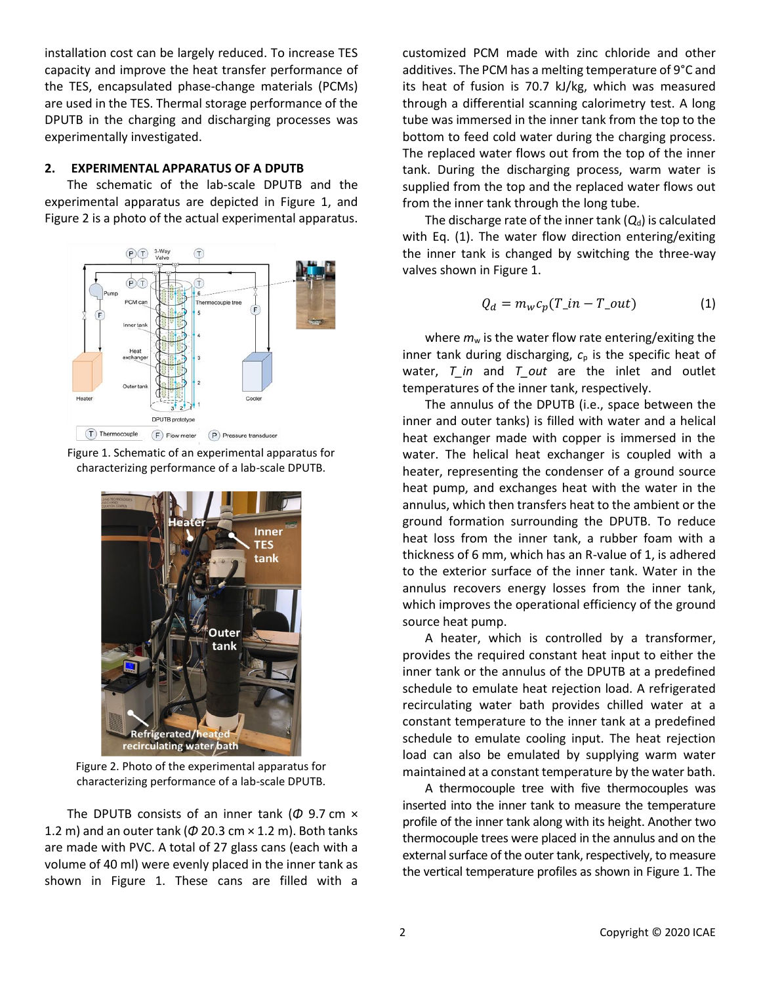installation cost can be largely reduced. To increase TES capacity and improve the heat transfer performance of the TES, encapsulated phase-change materials (PCMs) are used in the TES. Thermal storage performance of the DPUTB in the charging and discharging processes was experimentally investigated.

## **2. EXPERIMENTAL APPARATUS OF A DPUTB**

The schematic of the lab-scale DPUTB and the experimental apparatus are depicted in Figure 1, and Figure 2 is a photo of the actual experimental apparatus.



Figure 1. Schematic of an experimental apparatus for characterizing performance of a lab-scale DPUTB.



Figure 2. Photo of the experimental apparatus for characterizing performance of a lab-scale DPUTB.

The DPUTB consists of an inner tank (*Φ* 9.7 cm × 1.2 m) and an outer tank (*Φ* 20.3 cm × 1.2 m). Both tanks are made with PVC. A total of 27 glass cans (each with a volume of 40 ml) were evenly placed in the inner tank as shown in Figure 1. These cans are filled with a customized PCM made with zinc chloride and other additives. The PCM has a melting temperature of 9°C and its heat of fusion is 70.7 kJ/kg, which was measured through a differential scanning calorimetry test. A long tube was immersed in the inner tank from the top to the bottom to feed cold water during the charging process. The replaced water flows out from the top of the inner tank. During the discharging process, warm water is supplied from the top and the replaced water flows out from the inner tank through the long tube.

The discharge rate of the inner tank  $(Q_d)$  is calculated with Eq. (1). The water flow direction entering/exiting the inner tank is changed by switching the three-way valves shown in Figure 1.

$$
Q_d = m_w c_p (T\_in - T\_out)
$$
 (1)

where  $m_w$  is the water flow rate entering/exiting the inner tank during discharging, *c*<sup>p</sup> is the specific heat of water, *T* in and *T* out are the inlet and outlet temperatures of the inner tank, respectively.

The annulus of the DPUTB (i.e., space between the inner and outer tanks) is filled with water and a helical heat exchanger made with copper is immersed in the water. The helical heat exchanger is coupled with a heater, representing the condenser of a ground source heat pump, and exchanges heat with the water in the annulus, which then transfers heat to the ambient or the ground formation surrounding the DPUTB. To reduce heat loss from the inner tank, a rubber foam with a thickness of 6 mm, which has an R-value of 1, is adhered to the exterior surface of the inner tank. Water in the annulus recovers energy losses from the inner tank, which improves the operational efficiency of the ground source heat pump.

A heater, which is controlled by a transformer, provides the required constant heat input to either the inner tank or the annulus of the DPUTB at a predefined schedule to emulate heat rejection load. A refrigerated recirculating water bath provides chilled water at a constant temperature to the inner tank at a predefined schedule to emulate cooling input. The heat rejection load can also be emulated by supplying warm water maintained at a constant temperature by the water bath.

A thermocouple tree with five thermocouples was inserted into the inner tank to measure the temperature profile of the inner tank along with its height. Another two thermocouple trees were placed in the annulus and on the external surface of the outer tank, respectively, to measure the vertical temperature profiles as shown in Figure 1. The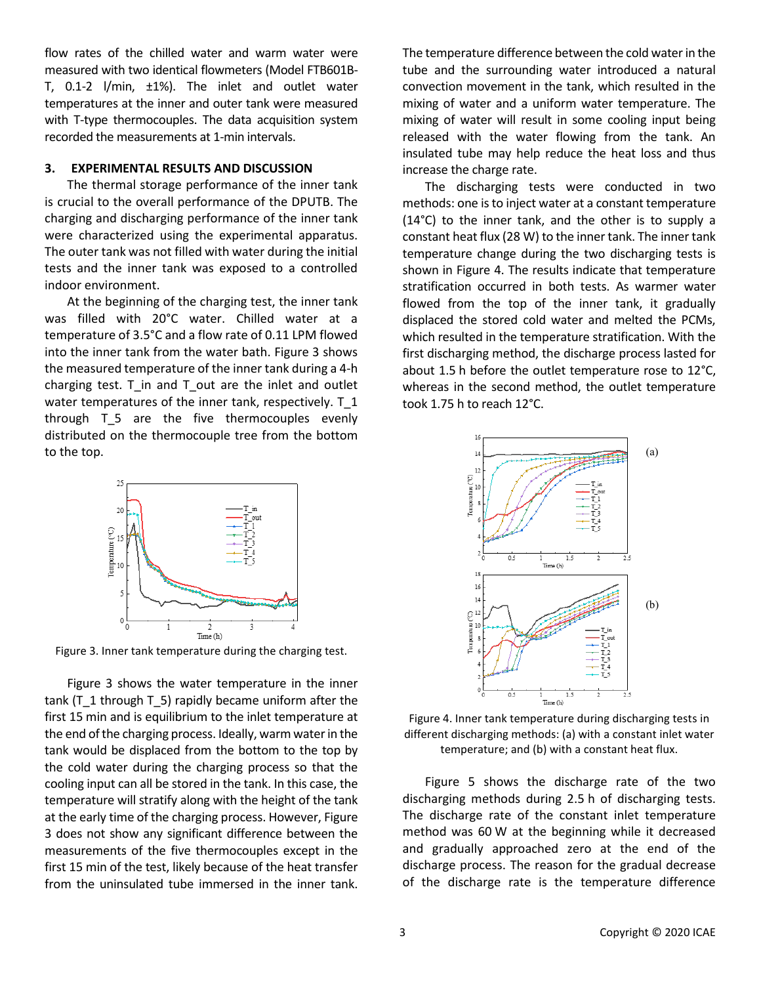flow rates of the chilled water and warm water were measured with two identical flowmeters (Model FTB601B-T, 0.1-2 l/min, ±1%). The inlet and outlet water temperatures at the inner and outer tank were measured with T-type thermocouples. The data acquisition system recorded the measurements at 1-min intervals.

#### **3. EXPERIMENTAL RESULTS AND DISCUSSION**

The thermal storage performance of the inner tank is crucial to the overall performance of the DPUTB. The charging and discharging performance of the inner tank were characterized using the experimental apparatus. The outer tank was not filled with water during the initial tests and the inner tank was exposed to a controlled indoor environment.

At the beginning of the charging test, the inner tank was filled with 20°C water. Chilled water at a temperature of 3.5°C and a flow rate of 0.11 LPM flowed into the inner tank from the water bath. Figure 3 shows the measured temperature of the inner tank during a 4-h charging test. T\_in and T\_out are the inlet and outlet water temperatures of the inner tank, respectively. T\_1 through T\_5 are the five thermocouples evenly distributed on the thermocouple tree from the bottom to the top.



Figure 3. Inner tank temperature during the charging test.

Figure 3 shows the water temperature in the inner tank (T\_1 through T\_5) rapidly became uniform after the first 15 min and is equilibrium to the inlet temperature at the end of the charging process. Ideally, warm water in the tank would be displaced from the bottom to the top by the cold water during the charging process so that the cooling input can all be stored in the tank. In this case, the temperature will stratify along with the height of the tank at the early time of the charging process. However, Figure 3 does not show any significant difference between the measurements of the five thermocouples except in the first 15 min of the test, likely because of the heat transfer from the uninsulated tube immersed in the inner tank.

The temperature difference between the cold water in the tube and the surrounding water introduced a natural convection movement in the tank, which resulted in the mixing of water and a uniform water temperature. The mixing of water will result in some cooling input being released with the water flowing from the tank. An insulated tube may help reduce the heat loss and thus increase the charge rate.

The discharging tests were conducted in two methods: one is to inject water at a constant temperature (14°C) to the inner tank, and the other is to supply a constant heat flux (28 W) to the inner tank. The inner tank temperature change during the two discharging tests is shown in Figure 4. The results indicate that temperature stratification occurred in both tests. As warmer water flowed from the top of the inner tank, it gradually displaced the stored cold water and melted the PCMs, which resulted in the temperature stratification. With the first discharging method, the discharge process lasted for about 1.5 h before the outlet temperature rose to 12°C, whereas in the second method, the outlet temperature took 1.75 h to reach 12°C.



Figure 4. Inner tank temperature during discharging tests in different discharging methods: (a) with a constant inlet water temperature; and (b) with a constant heat flux.

Figure 5 shows the discharge rate of the two discharging methods during 2.5 h of discharging tests. The discharge rate of the constant inlet temperature method was 60 W at the beginning while it decreased and gradually approached zero at the end of the discharge process. The reason for the gradual decrease of the discharge rate is the temperature difference